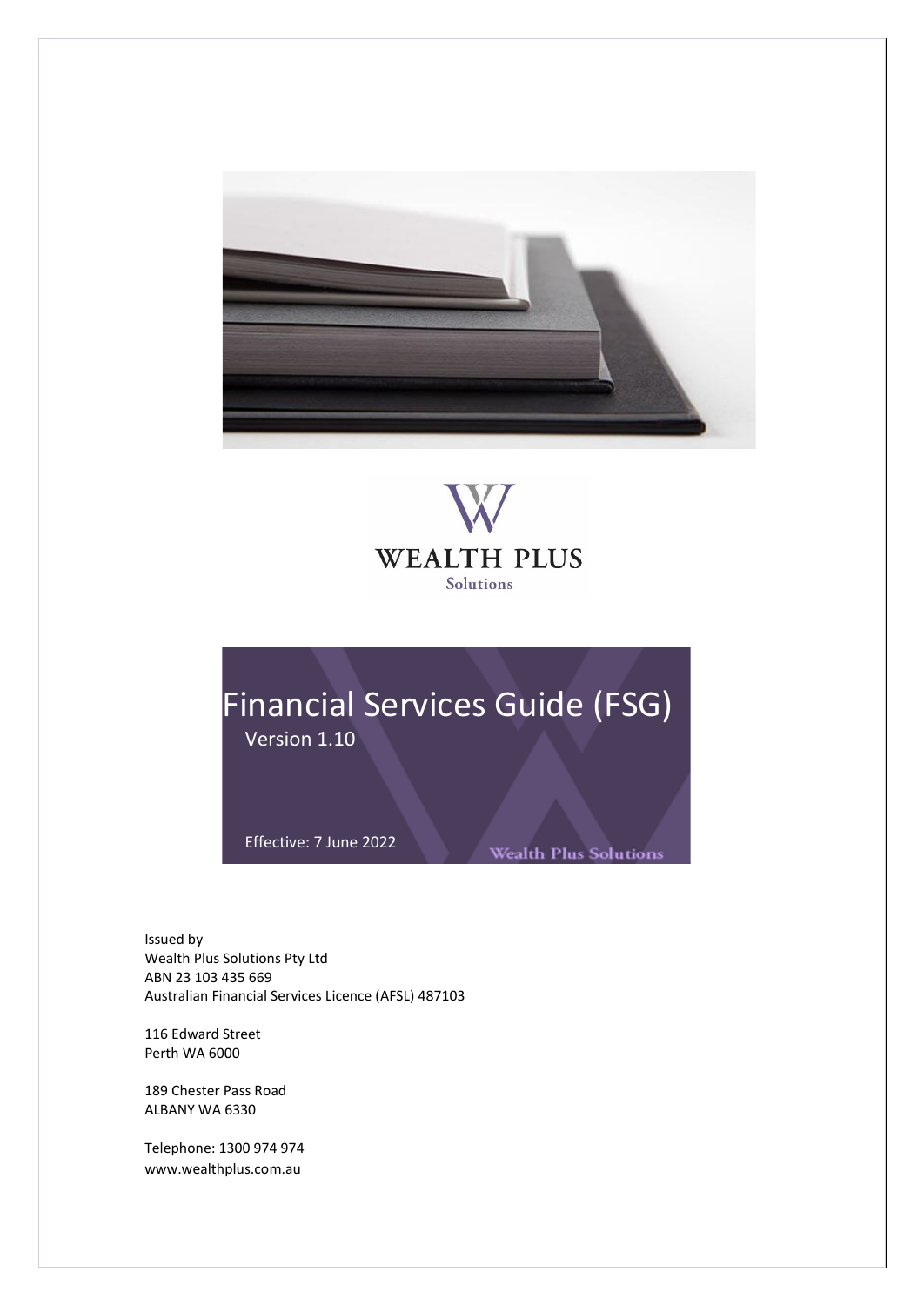



# Financial Services Guide (FSG) Version 1.10

Effective: 7 June 2022

**Wealth Plus Solutions** 

Issued by Wealth Plus Solutions Pty Ltd ABN 23 103 435 669 Australian Financial Services Licence (AFSL) 487103

116 Edward Street Perth WA 6000

189 Chester Pass Road ALBANY WA 6330

Telephone: 1300 974 974 www.wealthplus.com.au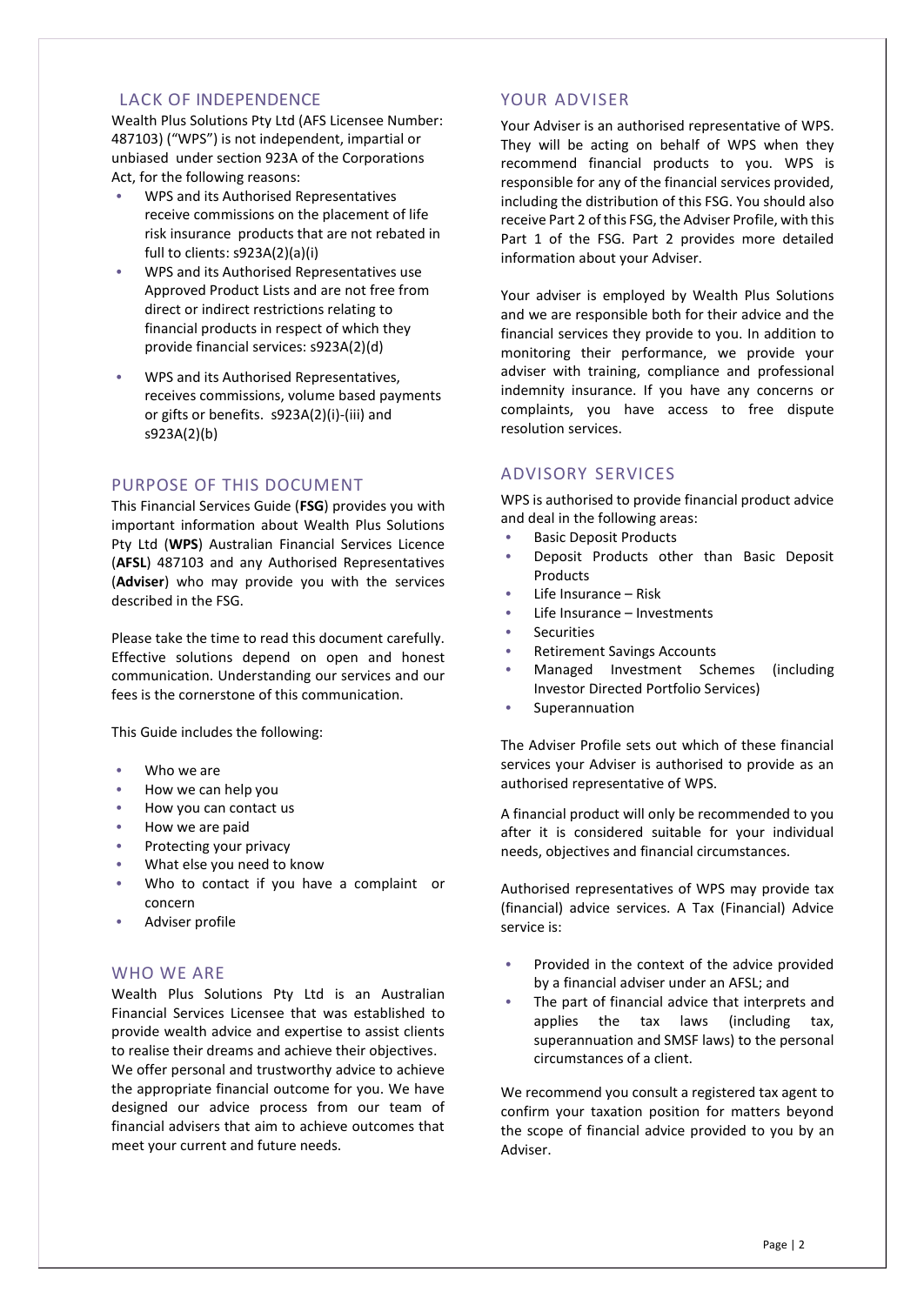#### LACK OF INDEPENDENCE

Wealth Plus Solutions Pty Ltd (AFS Licensee Number: 487103) ("WPS") is not independent, impartial or unbiased under section 923A of the Corporations Act, for the following reasons:

- WPS and its Authorised Representatives receive commissions on the placement of life risk insurance products that are not rebated in full to clients: s923A(2)(a)(i)
- WPS and its Authorised Representatives use Approved Product Lists and are not free from direct or indirect restrictions relating to financial products in respect of which they provide financial services: s923A(2)(d)
- WPS and its Authorised Representatives, receives commissions, volume based payments or gifts or benefits. s923A(2)(i)-(iii) and s923A(2)(b)

## PURPOSE OF THIS DOCUMENT

This Financial Services Guide (**FSG**) provides you with important information about Wealth Plus Solutions Pty Ltd (**WPS**) Australian Financial Services Licence (**AFSL**) 487103 and any Authorised Representatives (**Adviser**) who may provide you with the services described in the FSG.

Please take the time to read this document carefully. Effective solutions depend on open and honest communication. Understanding our services and our fees is the cornerstone of this communication.

This Guide includes the following:

- Who we are
- How we can help you
- How you can contact us
- How we are paid
- Protecting your privacy
- What else you need to know
- Who to contact if you have a complaint or concern
- Adviser profile

### WHO WE ARE

Wealth Plus Solutions Pty Ltd is an Australian Financial Services Licensee that was established to provide wealth advice and expertise to assist clients to realise their dreams and achieve their objectives.

We offer personal and trustworthy advice to achieve the appropriate financial outcome for you. We have designed our advice process from our team of financial advisers that aim to achieve outcomes that meet your current and future needs.

## YOUR ADVISER

Your Adviser is an authorised representative of WPS. They will be acting on behalf of WPS when they recommend financial products to you. WPS is responsible for any of the financial services provided, including the distribution of this FSG. You should also receive Part 2 of this FSG, the Adviser Profile, with this Part 1 of the FSG. Part 2 provides more detailed information about your Adviser.

Your adviser is employed by Wealth Plus Solutions and we are responsible both for their advice and the financial services they provide to you. In addition to monitoring their performance, we provide your adviser with training, compliance and professional indemnity insurance. If you have any concerns or complaints, you have access to free dispute resolution services.

## ADVISORY SERVICES

WPS is authorised to provide financial product advice and deal in the following areas:

- **Basic Deposit Products**
- Deposit Products other than Basic Deposit Products
- Life Insurance Risk
- Life Insurance Investments
- **Securities**
- Retirement Savings Accounts
- Managed Investment Schemes (including Investor Directed Portfolio Services)
- **Superannuation**

The Adviser Profile sets out which of these financial services your Adviser is authorised to provide as an authorised representative of WPS.

A financial product will only be recommended to you after it is considered suitable for your individual needs, objectives and financial circumstances.

Authorised representatives of WPS may provide tax (financial) advice services. A Tax (Financial) Advice service is:

- Provided in the context of the advice provided by a financial adviser under an AFSL; and
- The part of financial advice that interprets and applies the tax laws (including tax, superannuation and SMSF laws) to the personal circumstances of a client.

We recommend you consult a registered tax agent to confirm your taxation position for matters beyond the scope of financial advice provided to you by an Adviser.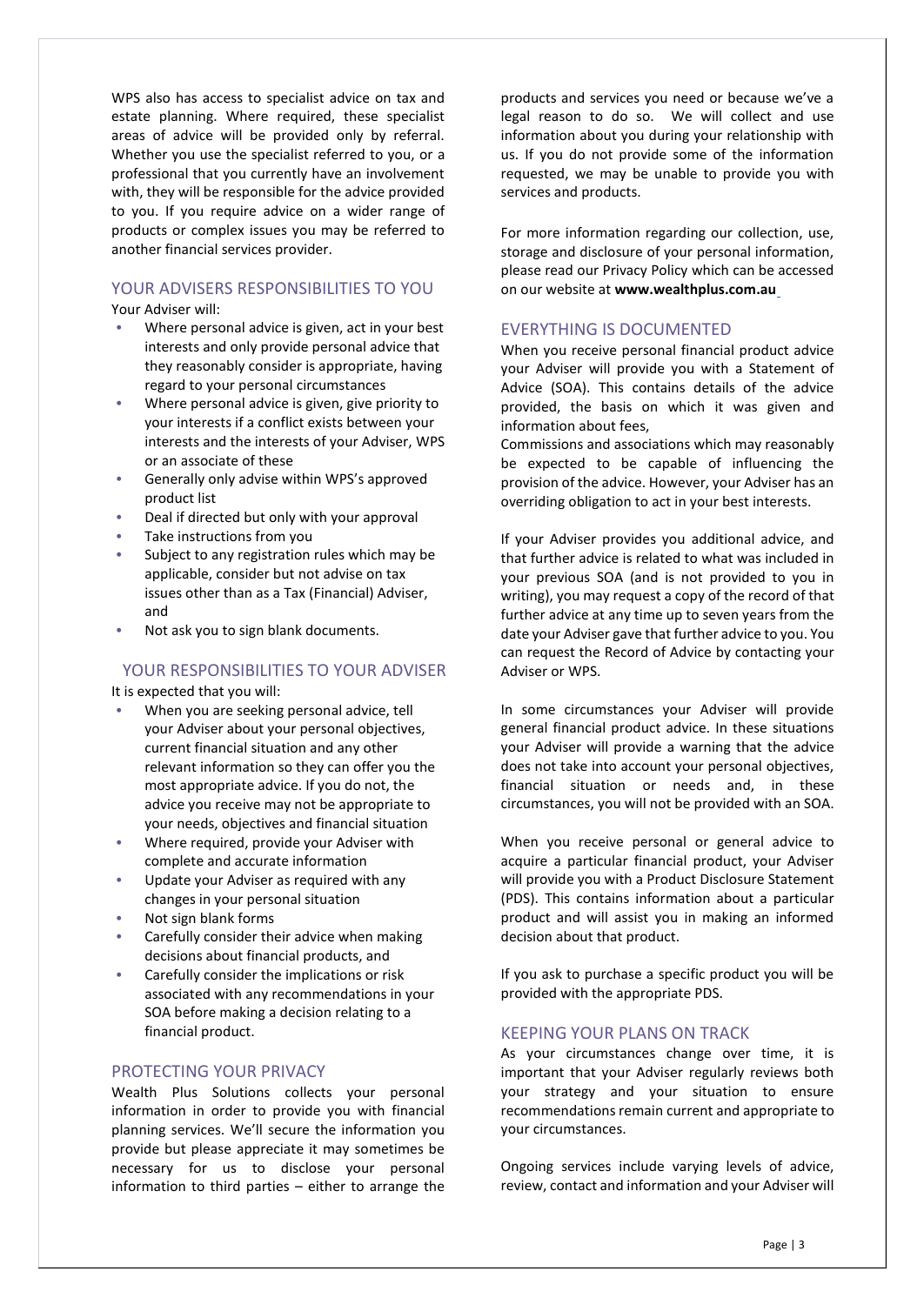WPS also has access to specialist advice on tax and estate planning. Where required, these specialist areas of advice will be provided only by referral. Whether you use the specialist referred to you, or a professional that you currently have an involvement with, they will be responsible for the advice provided to you. If you require advice on a wider range of products or complex issues you may be referred to another financial services provider.

# YOUR ADVISERS RESPONSIBILITIES TO YOU

Your Adviser will:

- Where personal advice is given, act in your best interests and only provide personal advice that they reasonably consider is appropriate, having regard to your personal circumstances
- Where personal advice is given, give priority to your interests if a conflict exists between your interests and the interests of your Adviser, WPS or an associate of these
- Generally only advise within WPS's approved product list
- Deal if directed but only with your approval
- Take instructions from you
- Subject to any registration rules which may be applicable, consider but not advise on tax issues other than as a Tax (Financial) Adviser, and
- Not ask you to sign blank documents.

### YOUR RESPONSIBILITIES TO YOUR ADVISER

It is expected that you will:

- When you are seeking personal advice, tell your Adviser about your personal objectives, current financial situation and any other relevant information so they can offer you the most appropriate advice. If you do not, the advice you receive may not be appropriate to your needs, objectives and financial situation
- Where required, provide your Adviser with complete and accurate information
- Update your Adviser as required with any changes in your personal situation
- Not sign blank forms
- Carefully consider their advice when making decisions about financial products, and
- Carefully consider the implications or risk associated with any recommendations in your SOA before making a decision relating to a financial product.

### PROTECTING YOUR PRIVACY

Wealth Plus Solutions collects your personal information in order to provide you with financial planning services. We'll secure the information you provide but please appreciate it may sometimes be necessary for us to disclose your personal information to third parties – either to arrange the

products and services you need or because we've a legal reason to do so. We will collect and use information about you during your relationship with us. If you do not provide some of the information requested, we may be unable to provide you with services and products.

For more information regarding our collection, use, storage and disclosure of your personal information, please read our Privacy Policy which can be accessed on our website at **www.wealthplus.com.au**

### EVERYTHING IS DOCUMENTED

When you receive personal financial product advice your Adviser will provide you with a Statement of Advice (SOA). This contains details of the advice provided, the basis on which it was given and information about fees,

Commissions and associations which may reasonably be expected to be capable of influencing the provision of the advice. However, your Adviser has an overriding obligation to act in your best interests.

If your Adviser provides you additional advice, and that further advice is related to what was included in your previous SOA (and is not provided to you in writing), you may request a copy of the record of that further advice at any time up to seven years from the date your Adviser gave that further advice to you. You can request the Record of Advice by contacting your Adviser or WPS.

In some circumstances your Adviser will provide general financial product advice. In these situations your Adviser will provide a warning that the advice does not take into account your personal objectives, financial situation or needs and, in these circumstances, you will not be provided with an SOA.

When you receive personal or general advice to acquire a particular financial product, your Adviser will provide you with a Product Disclosure Statement (PDS). This contains information about a particular product and will assist you in making an informed decision about that product.

If you ask to purchase a specific product you will be provided with the appropriate PDS.

### KEEPING YOUR PLANS ON TRACK

As your circumstances change over time, it is important that your Adviser regularly reviews both your strategy and your situation to ensure recommendations remain current and appropriate to your circumstances.

Ongoing services include varying levels of advice, review, contact and information and your Adviser will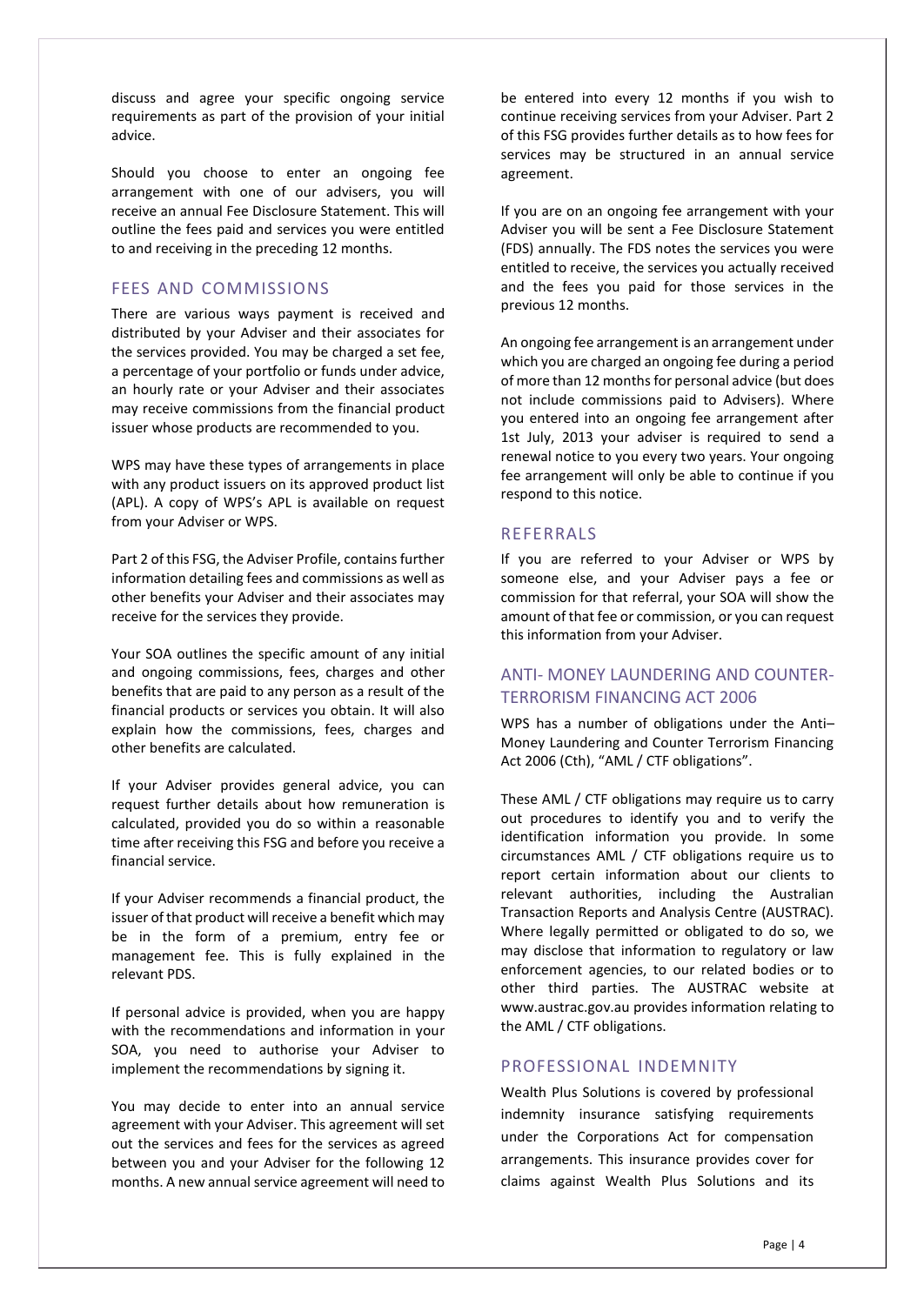discuss and agree your specific ongoing service requirements as part of the provision of your initial advice.

Should you choose to enter an ongoing fee arrangement with one of our advisers, you will receive an annual Fee Disclosure Statement. This will outline the fees paid and services you were entitled to and receiving in the preceding 12 months.

## FEES AND COMMISSIONS

There are various ways payment is received and distributed by your Adviser and their associates for the services provided. You may be charged a set fee, a percentage of your portfolio or funds under advice, an hourly rate or your Adviser and their associates may receive commissions from the financial product issuer whose products are recommended to you.

WPS may have these types of arrangements in place with any product issuers on its approved product list (APL). A copy of WPS's APL is available on request from your Adviser or WPS.

Part 2 of this FSG, the Adviser Profile, contains further information detailing fees and commissions as well as other benefits your Adviser and their associates may receive for the services they provide.

Your SOA outlines the specific amount of any initial and ongoing commissions, fees, charges and other benefits that are paid to any person as a result of the financial products or services you obtain. It will also explain how the commissions, fees, charges and other benefits are calculated.

If your Adviser provides general advice, you can request further details about how remuneration is calculated, provided you do so within a reasonable time after receiving this FSG and before you receive a financial service.

If your Adviser recommends a financial product, the issuer of that product will receive a benefit which may be in the form of a premium, entry fee or management fee. This is fully explained in the relevant PDS.

If personal advice is provided, when you are happy with the recommendations and information in your SOA, you need to authorise your Adviser to implement the recommendations by signing it.

You may decide to enter into an annual service agreement with your Adviser. This agreement will set out the services and fees for the services as agreed between you and your Adviser for the following 12 months. A new annual service agreement will need to

be entered into every 12 months if you wish to continue receiving services from your Adviser. Part 2 of this FSG provides further details as to how fees for services may be structured in an annual service agreement.

If you are on an ongoing fee arrangement with your Adviser you will be sent a Fee Disclosure Statement (FDS) annually. The FDS notes the services you were entitled to receive, the services you actually received and the fees you paid for those services in the previous 12 months.

An ongoing fee arrangement is an arrangement under which you are charged an ongoing fee during a period of more than 12 months for personal advice (but does not include commissions paid to Advisers). Where you entered into an ongoing fee arrangement after 1st July, 2013 your adviser is required to send a renewal notice to you every two years. Your ongoing fee arrangement will only be able to continue if you respond to this notice.

#### REFERRALS

If you are referred to your Adviser or WPS by someone else, and your Adviser pays a fee or commission for that referral, your SOA will show the amount of that fee or commission, or you can request this information from your Adviser.

# ANTI- MONEY LAUNDERING AND COUNTER-TERRORISM FINANCING ACT 2006

WPS has a number of obligations under the Anti– Money Laundering and Counter Terrorism Financing Act 2006 (Cth), "AML / CTF obligations".

These AML / CTF obligations may require us to carry out procedures to identify you and to verify the identification information you provide. In some circumstances AML / CTF obligations require us to report certain information about our clients to relevant authorities, including the Australian Transaction Reports and Analysis Centre (AUSTRAC). Where legally permitted or obligated to do so, we may disclose that information to regulatory or law enforcement agencies, to our related bodies or to other third parties. The AUSTRAC website at [www.austrac.gov.au p](http://www.austrac.gov.au/)rovides information relating to the AML / CTF obligations.

#### PROFESSIONAL INDEMNITY

Wealth Plus Solutions is covered by professional indemnity insurance satisfying requirements under the Corporations Act for compensation arrangements. This insurance provides cover for claims against Wealth Plus Solutions and its